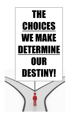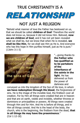### **TRUE CHRISTIANITY IS A**



### **NOT JUST A RELIGION**

"Behold what manner of love the Father has bestowed on us, that we should be called **children of God**! Therefore the world does not know us, because it did not know Him. Beloved, **now we are children of God**; and it has not yet been revealed what we shall be, but we know that when He is revealed, **we shall be like Him**, for we shall see Him as He is. And everyone who has this hope in Him purifies himself, just as He is pure." (1John 3:1-3)



"...giving thanks to **the Father who has qualified us to be partakers of the inheritance of the saints in the light**. He has delivered us from the power of darkness and

conveyed us into the kingdom of the Son of His love, in whom **we have redemption through His blood**, the forgiveness of sins. He is the image of the invisible God, the firstborn over all creation. For by Him all things were created that are in heaven and that are on earth, visible and invisible, whether thrones or dominions or principalities or powers. All things were created through Him and for Him. And He is before all things, and in Him all things consist. And He is the head of the body, the church, who is the beginning, the firstborn from the dead, **that in all things He may have the preeminence**." (Col 1:12-18)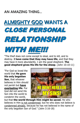### **AN AMAZING THING...**

# **ALMIGHTY GOD WANTS A** CLOSE PERSONAL RELATIONSHIP



"The thief does not come except to steal, and to kill, and to destroy. **I have come that they may have life**, and that they may have it more abundantly. I am the good shepherd. **The good shepherd gives His life for the sheep**. (John 10:10-11)

"For God so loved the world that **He gave His only begotten Son**, that whoever believes in Him should not perish but **have everlasting life**. For God did not send His Son into the world to condemn the world,



but that **the world through Him might be saved.** He who believes in Him is not condemned; but he who does not believe is condemned already, because he has not believed in the name of the only begotten Son of God." (John 3:16-18)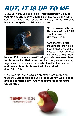# BUT, IT IS UP TO ME

"Jesus answered and said to him, **'Most assuredly, I say to you, unless one is born again**, he cannot see the kingdom of God... That which is born of the flesh is flesh, and **that which is born of the Spirit is spirit**. (John 3:3-6)



"For **whoever calls on the name of the LORD shall be saved**." (Romans 10:13)

"And the tax collector, standing afar off, would not so much as raise his eyes to heaven, but beat his breast, saying**, 'God,**

**be merciful to me a sinner!'** I tell you, **this man went down to his house justified** rather than the other (the other was a very religious man); for everyone who exalts himself will be humbled, **and he who humbles himself will be exalted**." (Luke 18:13-14)

"Thus says the Lord: 'Heaven is My throne, And earth is My footstool... **But on this one will I look: On him who is poor and of a contrite spirit, And who trembles at My word**.'" (Isaiah 66:1-2)



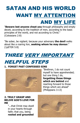### SATAN AND HIS WORLD WANT MY ATTENTION AND MY LIFE

#### "**Beware lest anyone cheat you** through philosophy and empty deceit, according to the tradition of men, according to the basic principles of the world, and not according to Christ." (Colossians 2:8)

"Be sober, be vigilant; because your adversary **the devil** walks about like a roaring lion, **seeking whom he may devour**." (1pETER 5:8)

## THREE VERY IMPORTANT

### HELPFUL STEPS

#### **1. FORGET PAST CONFESSED SINS**



"Brethren, I do not count myself to have apprehended; but one thing I do, **forgetting those things which are behind** and reaching forward to those things which are ahead" (Philippians 3:13)

#### **2. TRULY GRASP AND BELIVE GOD'S LOVE FOR ME**

"...that Christ may dwell in your hearts through faith; that you, being **rooted and grounded**

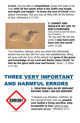**in love**, may be able to **comprehend** (grasp and make it my own) **with all the saints what is the width and length and depth and height— to know the love of Christ** which passes knowledge; that you may be filled with all the fullness of God. (Ephesians 3:17-19)



#### **3. COMMIT AND DEDICATE MY LIFE TO GOD'S PURPOSES**

(Jesus Christ prayed this about true Christians...)

"As You sent Me into the world, **I also have sent them into the world**." (John 17:18)

"You therefore, beloved, since you know this beforehand, beware lest you also fall from your own steadfastness, being led away with the error of the wicked; but **grow in the grace and knowledge of our Lord and Savior Jesus Christ**. **To Him be the glory both now and forever**. Amen." (2 Peter 3:17-18)

# THREE VERY IMPORTANT AND HARMFUL ERRORS



**1. TREATING GOD AS MY SERVANT RATHER THAN I AM HIS SERVANT**

"I beseech you therefore, brethren, by the mercies of God, that you **present your bodies a living sacrifice, holy, acceptable to God**, which is your reasonable service." (Romans 12:1)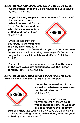#### **2. NOT REALLY GRASPING AND LIVING IN GOD'S LOVE** "**As the Father loved Me, I also have loved you**; abide in

My love." (John 15:9)

#### "**If you love Me, keep My commandments**." (John 14:15)

"And we have known and believed the love that God has for us. **God is love, and he who abides in love abides in God, and God in him**." (1John 4:16)

"Or do you not know that **your body is the temple of the Holy Spirit who is in**



**you**, whom you have from God, and **you are not your own**? For you were bought at a price; therefore glorify God in your body and in your spirit, **which are God's**." (1Corinthians 6:19-20)

"And whatever you do in word or deed**, do all in the name of the Lord Jesus, giving thanks to God the Father through Him**." (Colossians 3:17)

#### **3. NOT BELIEVING THAT WHAT I DO AFFECTS MY LIFE AND MY RELATIONSIP** (not His love) **WITH GOD**



"**Do not be deceived**, God is not mocked; for **whatever a man sows, that he will also reap**." (Galatians 6:7)

"Therefore we make it our aim, whether present or absent, **to be well pleasing to Him**. For **we must all appear before the judgment**

**seat of Christ**, that each one may receive the things done in the body, **according to what he has done, whether good or bad**." (2Corinthians 5:9-10)